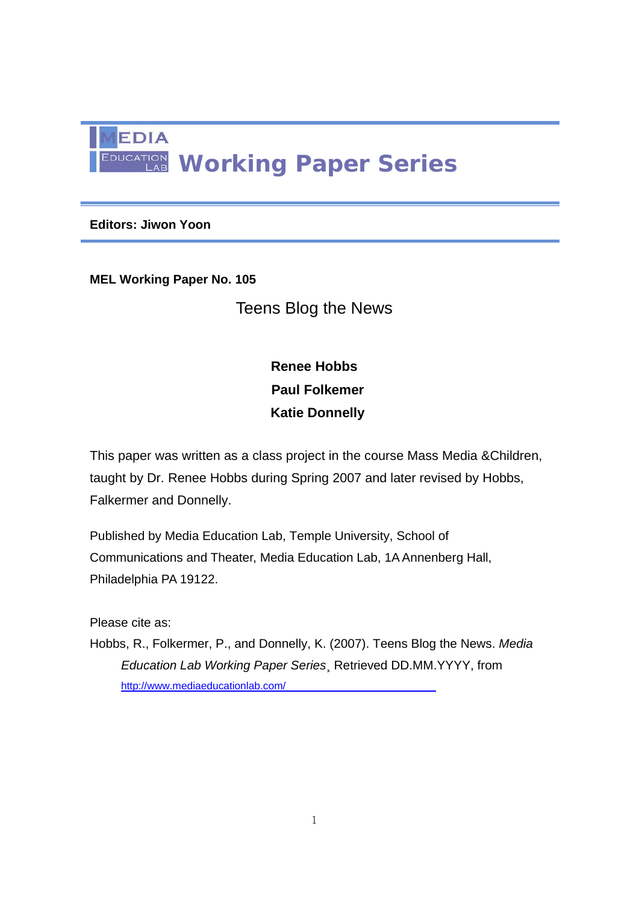

**Editors: Jiwon Yoon** 

**MEL Working Paper No. 105** 

Teens Blog the News

**Renee Hobbs Paul Folkemer Katie Donnelly** 

This paper was written as a class project in the course Mass Media &Children, taught by Dr. Renee Hobbs during Spring 2007 and later revised by Hobbs, Falkermer and Donnelly.

Published by Media Education Lab, Temple University, School of Communications and Theater, Media Education Lab, 1A Annenberg Hall, Philadelphia PA 19122.

Please cite as:

Hobbs, R., Folkermer, P., and Donnelly, K. (2007). Teens Blog the News. *Media Education Lab Working Paper Series*¸ Retrieved DD.MM.YYYY, from http://www.mediaeducationlab.com/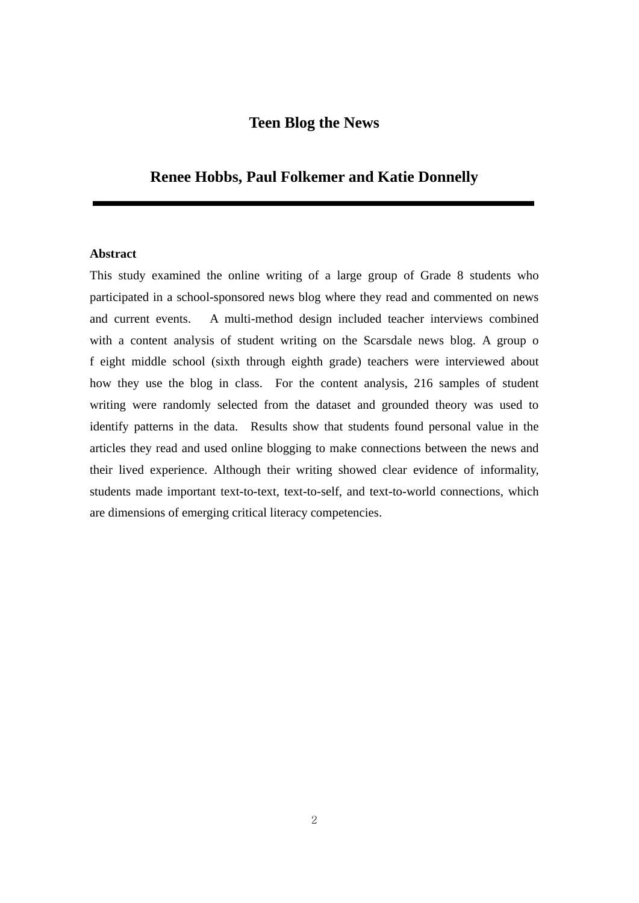# **Teen Blog the News**

## **Renee Hobbs, Paul Folkemer and Katie Donnelly**

## **Abstract**

This study examined the online writing of a large group of Grade 8 students who participated in a school-sponsored news blog where they read and commented on news and current events. A multi-method design included teacher interviews combined with a content analysis of student writing on the Scarsdale news blog. A group o f eight middle school (sixth through eighth grade) teachers were interviewed about how they use the blog in class. For the content analysis, 216 samples of student writing were randomly selected from the dataset and grounded theory was used to identify patterns in the data. Results show that students found personal value in the articles they read and used online blogging to make connections between the news and their lived experience. Although their writing showed clear evidence of informality, students made important text-to-text, text-to-self, and text-to-world connections, which are dimensions of emerging critical literacy competencies.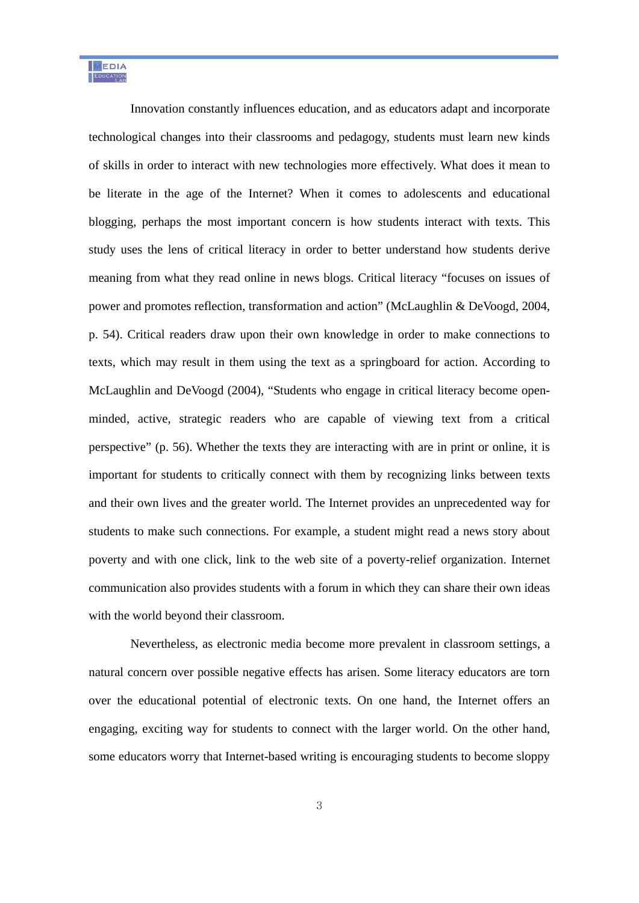Innovation constantly influences education, and as educators adapt and incorporate technological changes into their classrooms and pedagogy, students must learn new kinds of skills in order to interact with new technologies more effectively. What does it mean to be literate in the age of the Internet? When it comes to adolescents and educational blogging, perhaps the most important concern is how students interact with texts. This study uses the lens of critical literacy in order to better understand how students derive meaning from what they read online in news blogs. Critical literacy "focuses on issues of power and promotes reflection, transformation and action" (McLaughlin & DeVoogd, 2004, p. 54). Critical readers draw upon their own knowledge in order to make connections to texts, which may result in them using the text as a springboard for action. According to McLaughlin and DeVoogd (2004), "Students who engage in critical literacy become openminded, active, strategic readers who are capable of viewing text from a critical perspective" (p. 56). Whether the texts they are interacting with are in print or online, it is important for students to critically connect with them by recognizing links between texts and their own lives and the greater world. The Internet provides an unprecedented way for students to make such connections. For example, a student might read a news story about poverty and with one click, link to the web site of a poverty-relief organization. Internet communication also provides students with a forum in which they can share their own ideas with the world beyond their classroom.

 Nevertheless, as electronic media become more prevalent in classroom settings, a natural concern over possible negative effects has arisen. Some literacy educators are torn over the educational potential of electronic texts. On one hand, the Internet offers an engaging, exciting way for students to connect with the larger world. On the other hand, some educators worry that Internet-based writing is encouraging students to become sloppy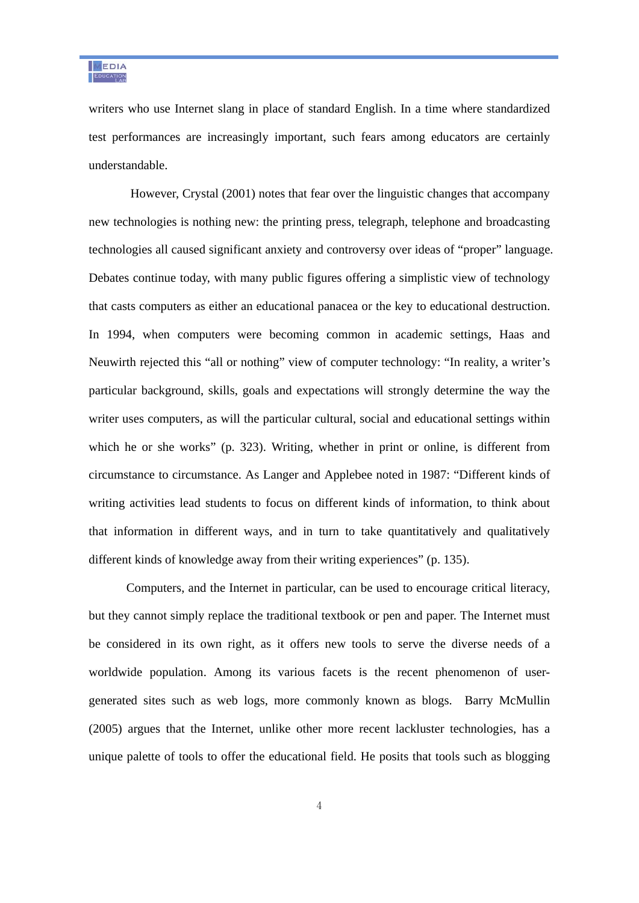writers who use Internet slang in place of standard English. In a time where standardized test performances are increasingly important, such fears among educators are certainly understandable.

 However, Crystal (2001) notes that fear over the linguistic changes that accompany new technologies is nothing new: the printing press, telegraph, telephone and broadcasting technologies all caused significant anxiety and controversy over ideas of "proper" language. Debates continue today, with many public figures offering a simplistic view of technology that casts computers as either an educational panacea or the key to educational destruction. In 1994, when computers were becoming common in academic settings, Haas and Neuwirth rejected this "all or nothing" view of computer technology: "In reality, a writer's particular background, skills, goals and expectations will strongly determine the way the writer uses computers, as will the particular cultural, social and educational settings within which he or she works" (p. 323). Writing, whether in print or online, is different from circumstance to circumstance. As Langer and Applebee noted in 1987: "Different kinds of writing activities lead students to focus on different kinds of information, to think about that information in different ways, and in turn to take quantitatively and qualitatively different kinds of knowledge away from their writing experiences" (p. 135).

Computers, and the Internet in particular, can be used to encourage critical literacy, but they cannot simply replace the traditional textbook or pen and paper. The Internet must be considered in its own right, as it offers new tools to serve the diverse needs of a worldwide population. Among its various facets is the recent phenomenon of usergenerated sites such as web logs, more commonly known as blogs. Barry McMullin (2005) argues that the Internet, unlike other more recent lackluster technologies, has a unique palette of tools to offer the educational field. He posits that tools such as blogging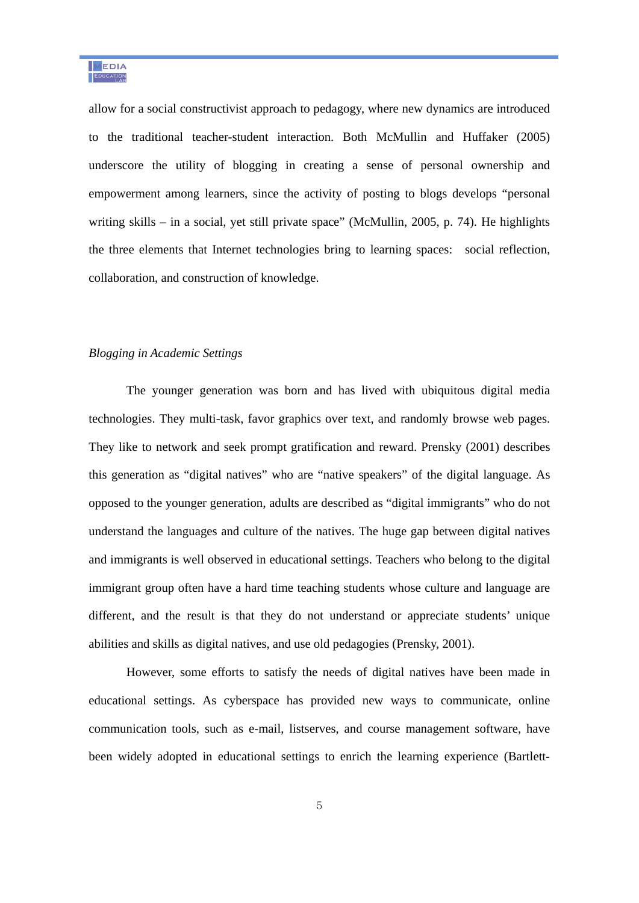allow for a social constructivist approach to pedagogy, where new dynamics are introduced to the traditional teacher-student interaction. Both McMullin and Huffaker (2005) underscore the utility of blogging in creating a sense of personal ownership and empowerment among learners, since the activity of posting to blogs develops "personal writing skills – in a social, yet still private space" (McMullin, 2005, p. 74). He highlights the three elements that Internet technologies bring to learning spaces: social reflection, collaboration, and construction of knowledge.

#### *Blogging in Academic Settings*

The younger generation was born and has lived with ubiquitous digital media technologies. They multi-task, favor graphics over text, and randomly browse web pages. They like to network and seek prompt gratification and reward. Prensky (2001) describes this generation as "digital natives" who are "native speakers" of the digital language. As opposed to the younger generation, adults are described as "digital immigrants" who do not understand the languages and culture of the natives. The huge gap between digital natives and immigrants is well observed in educational settings. Teachers who belong to the digital immigrant group often have a hard time teaching students whose culture and language are different, and the result is that they do not understand or appreciate students' unique abilities and skills as digital natives, and use old pedagogies (Prensky, 2001).

However, some efforts to satisfy the needs of digital natives have been made in educational settings. As cyberspace has provided new ways to communicate, online communication tools, such as e-mail, listserves, and course management software, have been widely adopted in educational settings to enrich the learning experience (Bartlett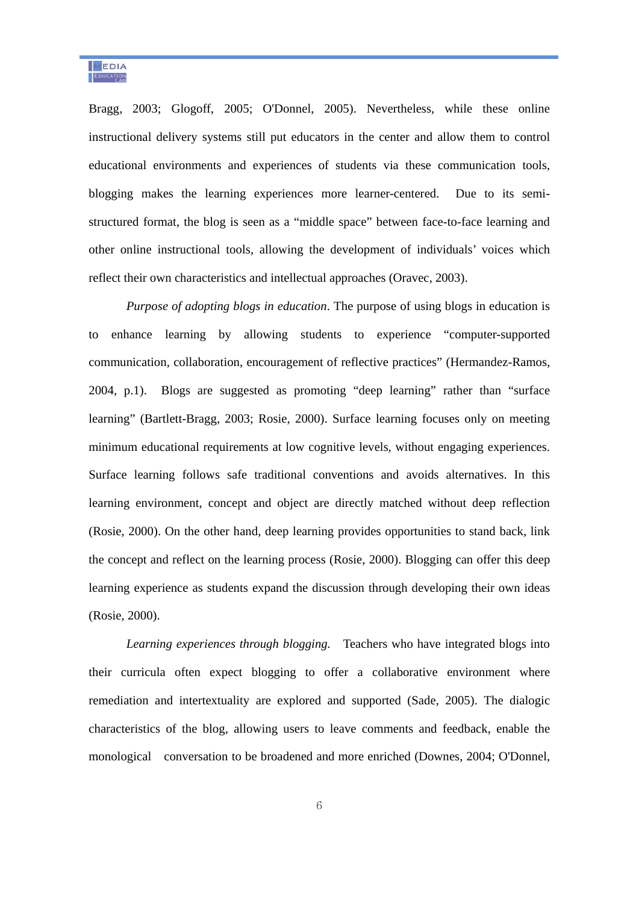Bragg, 2003; Glogoff, 2005; O'Donnel, 2005). Nevertheless, while these online instructional delivery systems still put educators in the center and allow them to control educational environments and experiences of students via these communication tools, blogging makes the learning experiences more learner-centered. Due to its semistructured format, the blog is seen as a "middle space" between face-to-face learning and other online instructional tools, allowing the development of individuals' voices which reflect their own characteristics and intellectual approaches (Oravec, 2003).

*Purpose of adopting blogs in education*. The purpose of using blogs in education is to enhance learning by allowing students to experience "computer-supported communication, collaboration, encouragement of reflective practices" (Hermandez-Ramos, 2004, p.1). Blogs are suggested as promoting "deep learning" rather than "surface learning" (Bartlett-Bragg, 2003; Rosie, 2000). Surface learning focuses only on meeting minimum educational requirements at low cognitive levels, without engaging experiences. Surface learning follows safe traditional conventions and avoids alternatives. In this learning environment, concept and object are directly matched without deep reflection (Rosie, 2000). On the other hand, deep learning provides opportunities to stand back, link the concept and reflect on the learning process (Rosie, 2000). Blogging can offer this deep learning experience as students expand the discussion through developing their own ideas (Rosie, 2000).

*Learning experiences through blogging.* Teachers who have integrated blogs into their curricula often expect blogging to offer a collaborative environment where remediation and intertextuality are explored and supported (Sade, 2005). The dialogic characteristics of the blog, allowing users to leave comments and feedback, enable the monological conversation to be broadened and more enriched (Downes, 2004; O'Donnel,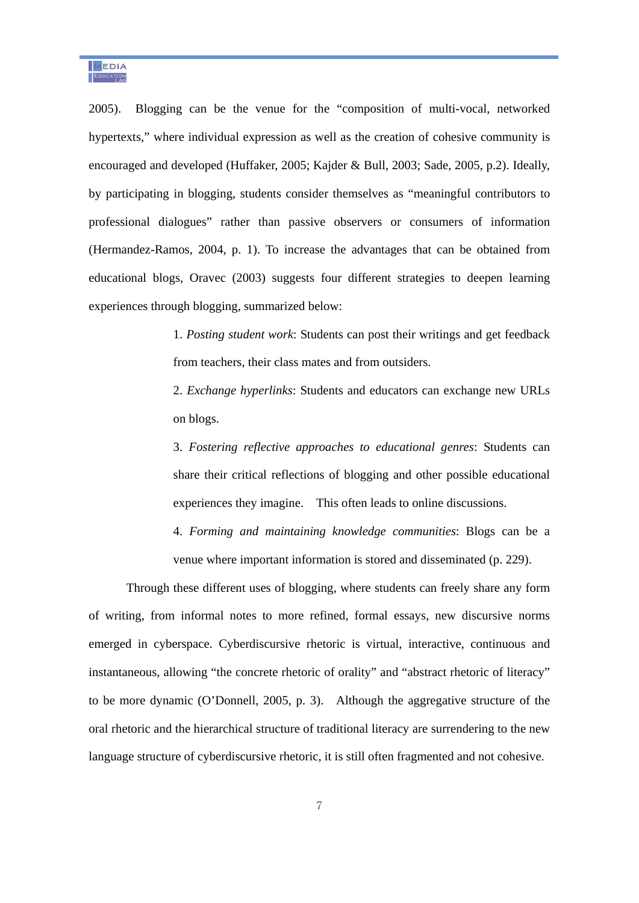2005). Blogging can be the venue for the "composition of multi-vocal, networked hypertexts," where individual expression as well as the creation of cohesive community is encouraged and developed (Huffaker, 2005; Kajder & Bull, 2003; Sade, 2005, p.2). Ideally, by participating in blogging, students consider themselves as "meaningful contributors to professional dialogues" rather than passive observers or consumers of information (Hermandez-Ramos, 2004, p. 1). To increase the advantages that can be obtained from educational blogs, Oravec (2003) suggests four different strategies to deepen learning experiences through blogging, summarized below:

> 1. *Posting student work*: Students can post their writings and get feedback from teachers, their class mates and from outsiders.

> 2. *Exchange hyperlinks*: Students and educators can exchange new URLs on blogs.

> 3. *Fostering reflective approaches to educational genres*: Students can share their critical reflections of blogging and other possible educational experiences they imagine. This often leads to online discussions.

> 4. *Forming and maintaining knowledge communities*: Blogs can be a venue where important information is stored and disseminated (p. 229).

Through these different uses of blogging, where students can freely share any form of writing, from informal notes to more refined, formal essays, new discursive norms emerged in cyberspace. Cyberdiscursive rhetoric is virtual, interactive, continuous and instantaneous, allowing "the concrete rhetoric of orality" and "abstract rhetoric of literacy" to be more dynamic (O'Donnell, 2005, p. 3). Although the aggregative structure of the oral rhetoric and the hierarchical structure of traditional literacy are surrendering to the new language structure of cyberdiscursive rhetoric, it is still often fragmented and not cohesive.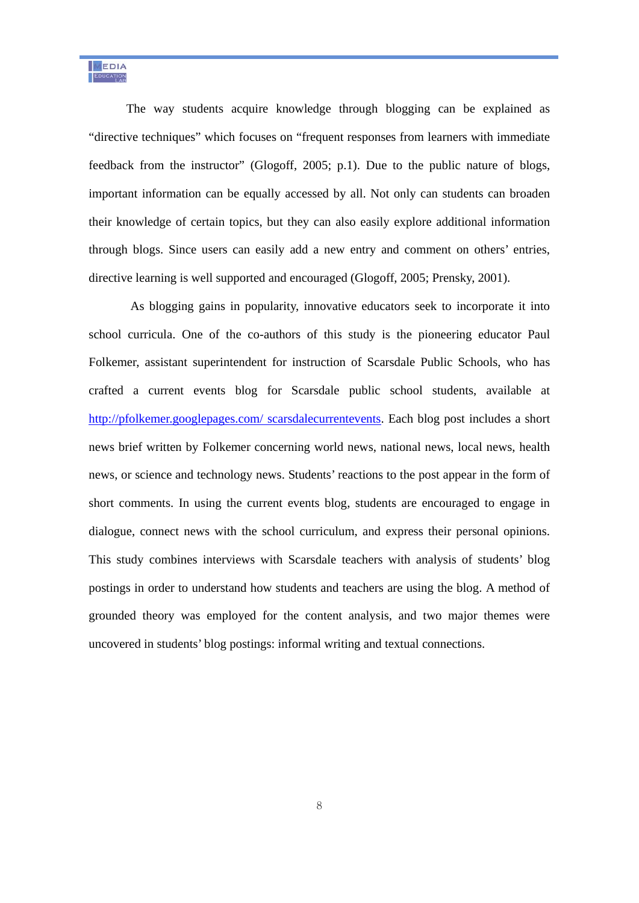The way students acquire knowledge through blogging can be explained as "directive techniques" which focuses on "frequent responses from learners with immediate feedback from the instructor" (Glogoff, 2005; p.1). Due to the public nature of blogs, important information can be equally accessed by all. Not only can students can broaden their knowledge of certain topics, but they can also easily explore additional information through blogs. Since users can easily add a new entry and comment on others' entries, directive learning is well supported and encouraged (Glogoff, 2005; Prensky, 2001).

 As blogging gains in popularity, innovative educators seek to incorporate it into school curricula. One of the co-authors of this study is the pioneering educator Paul Folkemer, assistant superintendent for instruction of Scarsdale Public Schools, who has crafted a current events blog for Scarsdale public school students, available at http://pfolkemer.googlepages.com/ scarsdalecurrentevents. Each blog post includes a short news brief written by Folkemer concerning world news, national news, local news, health news, or science and technology news. Students' reactions to the post appear in the form of short comments. In using the current events blog, students are encouraged to engage in dialogue, connect news with the school curriculum, and express their personal opinions. This study combines interviews with Scarsdale teachers with analysis of students' blog postings in order to understand how students and teachers are using the blog. A method of grounded theory was employed for the content analysis, and two major themes were uncovered in students' blog postings: informal writing and textual connections.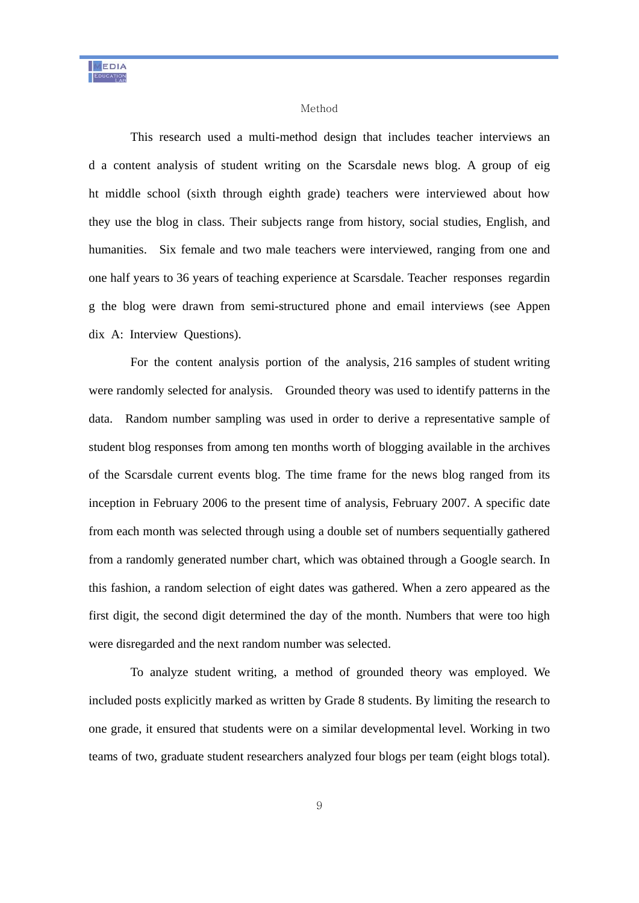#### Method

 This research used a multi-method design that includes teacher interviews an d a content analysis of student writing on the Scarsdale news blog. A group of eig ht middle school (sixth through eighth grade) teachers were interviewed about how they use the blog in class. Their subjects range from history, social studies, English, and humanities. Six female and two male teachers were interviewed, ranging from one and one half years to 36 years of teaching experience at Scarsdale. Teacher responses regardin g the blog were drawn from semi-structured phone and email interviews (see Appen dix A: Interview Questions).

 For the content analysis portion of the analysis, 216 samples of student writing were randomly selected for analysis. Grounded theory was used to identify patterns in the data. Random number sampling was used in order to derive a representative sample of student blog responses from among ten months worth of blogging available in the archives of the Scarsdale current events blog. The time frame for the news blog ranged from its inception in February 2006 to the present time of analysis, February 2007. A specific date from each month was selected through using a double set of numbers sequentially gathered from a randomly generated number chart, which was obtained through a Google search. In this fashion, a random selection of eight dates was gathered. When a zero appeared as the first digit, the second digit determined the day of the month. Numbers that were too high were disregarded and the next random number was selected.

 To analyze student writing, a method of grounded theory was employed. We included posts explicitly marked as written by Grade 8 students. By limiting the research to one grade, it ensured that students were on a similar developmental level. Working in two teams of two, graduate student researchers analyzed four blogs per team (eight blogs total).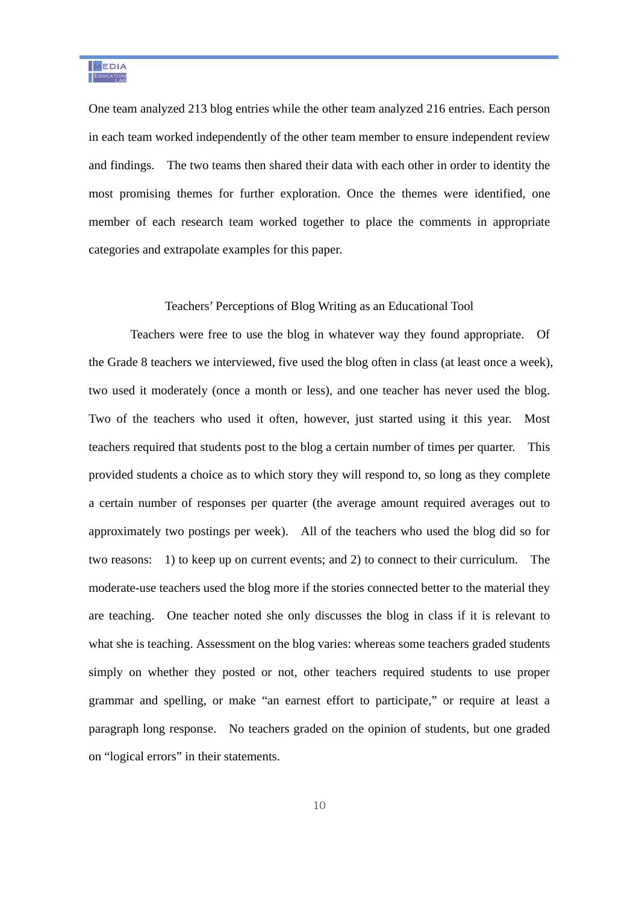One team analyzed 213 blog entries while the other team analyzed 216 entries. Each person in each team worked independently of the other team member to ensure independent review and findings. The two teams then shared their data with each other in order to identity the most promising themes for further exploration. Once the themes were identified, one member of each research team worked together to place the comments in appropriate categories and extrapolate examples for this paper.

#### Teachers' Perceptions of Blog Writing as an Educational Tool

Teachers were free to use the blog in whatever way they found appropriate. Of the Grade 8 teachers we interviewed, five used the blog often in class (at least once a week), two used it moderately (once a month or less), and one teacher has never used the blog. Two of the teachers who used it often, however, just started using it this year. Most teachers required that students post to the blog a certain number of times per quarter. This provided students a choice as to which story they will respond to, so long as they complete a certain number of responses per quarter (the average amount required averages out to approximately two postings per week). All of the teachers who used the blog did so for two reasons: 1) to keep up on current events; and 2) to connect to their curriculum. The moderate-use teachers used the blog more if the stories connected better to the material they are teaching. One teacher noted she only discusses the blog in class if it is relevant to what she is teaching. Assessment on the blog varies: whereas some teachers graded students simply on whether they posted or not, other teachers required students to use proper grammar and spelling, or make "an earnest effort to participate," or require at least a paragraph long response. No teachers graded on the opinion of students, but one graded on "logical errors" in their statements.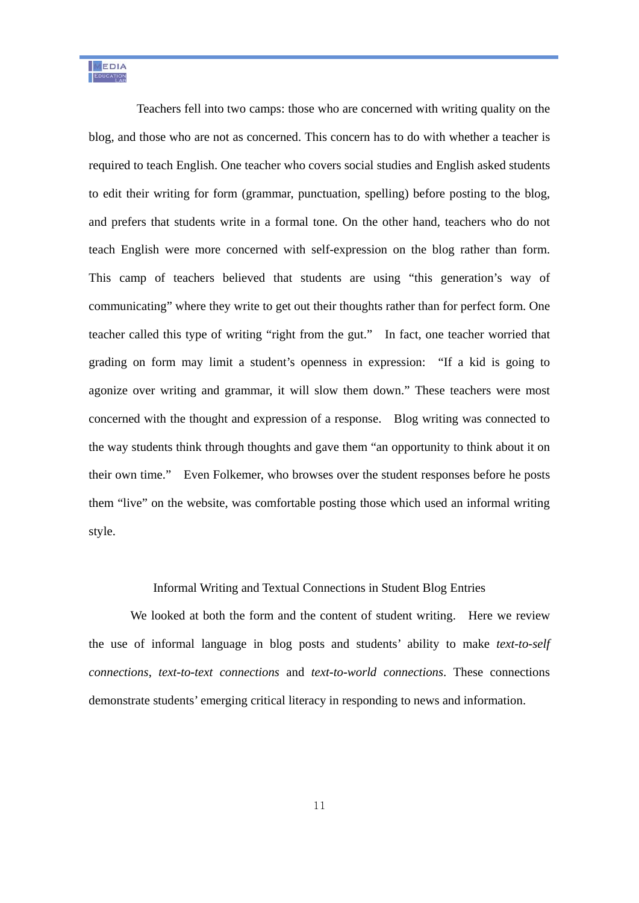Teachers fell into two camps: those who are concerned with writing quality on the blog, and those who are not as concerned. This concern has to do with whether a teacher is required to teach English. One teacher who covers social studies and English asked students to edit their writing for form (grammar, punctuation, spelling) before posting to the blog, and prefers that students write in a formal tone. On the other hand, teachers who do not teach English were more concerned with self-expression on the blog rather than form. This camp of teachers believed that students are using "this generation's way of communicating" where they write to get out their thoughts rather than for perfect form. One teacher called this type of writing "right from the gut." In fact, one teacher worried that grading on form may limit a student's openness in expression: "If a kid is going to agonize over writing and grammar, it will slow them down." These teachers were most concerned with the thought and expression of a response. Blog writing was connected to the way students think through thoughts and gave them "an opportunity to think about it on their own time." Even Folkemer, who browses over the student responses before he posts them "live" on the website, was comfortable posting those which used an informal writing style.

#### Informal Writing and Textual Connections in Student Blog Entries

 We looked at both the form and the content of student writing. Here we review the use of informal language in blog posts and students' ability to make *text-to-self connections*, *text-to-text connections* and *text-to-world connections*. These connections demonstrate students' emerging critical literacy in responding to news and information.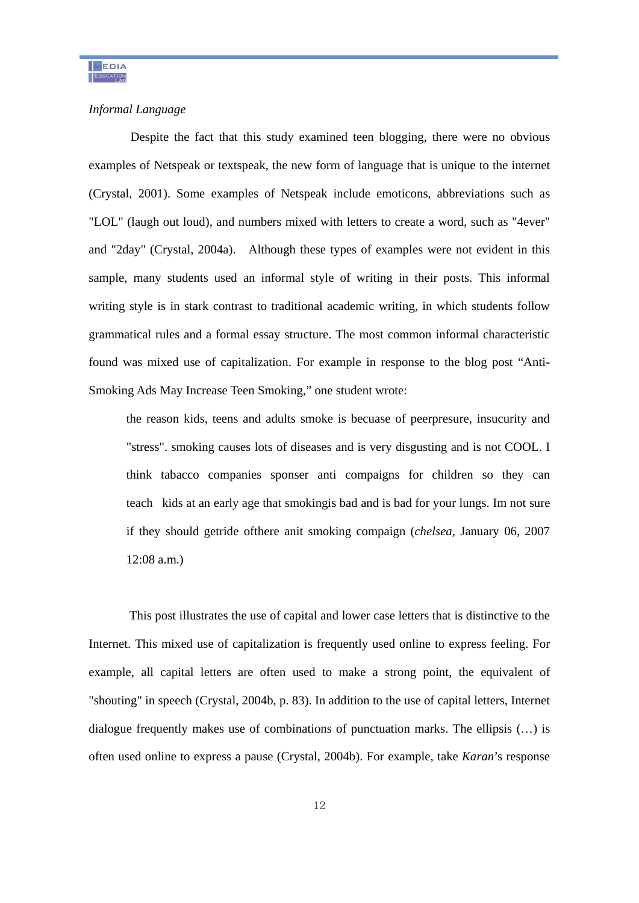### *Informal Language*

Despite the fact that this study examined teen blogging, there were no obvious examples of Netspeak or textspeak, the new form of language that is unique to the internet (Crystal, 2001). Some examples of Netspeak include emoticons, abbreviations such as "LOL" (laugh out loud), and numbers mixed with letters to create a word, such as "4ever" and "2day" (Crystal, 2004a). Although these types of examples were not evident in this sample, many students used an informal style of writing in their posts. This informal writing style is in stark contrast to traditional academic writing, in which students follow grammatical rules and a formal essay structure. The most common informal characteristic found was mixed use of capitalization. For example in response to the blog post "Anti-Smoking Ads May Increase Teen Smoking," one student wrote:

the reason kids, teens and adults smoke is becuase of peerpresure, insucurity and "stress". smoking causes lots of diseases and is very disgusting and is not COOL. I think tabacco companies sponser anti compaigns for children so they can teach kids at an early age that smokingis bad and is bad for your lungs. Im not sure if they should getride ofthere anit smoking compaign (*chelsea,* January 06, 2007 12:08 a.m.)

This post illustrates the use of capital and lower case letters that is distinctive to the Internet. This mixed use of capitalization is frequently used online to express feeling. For example, all capital letters are often used to make a strong point, the equivalent of "shouting" in speech (Crystal, 2004b, p. 83). In addition to the use of capital letters, Internet dialogue frequently makes use of combinations of punctuation marks. The ellipsis (…) is often used online to express a pause (Crystal, 2004b). For example, take *Karan*'s response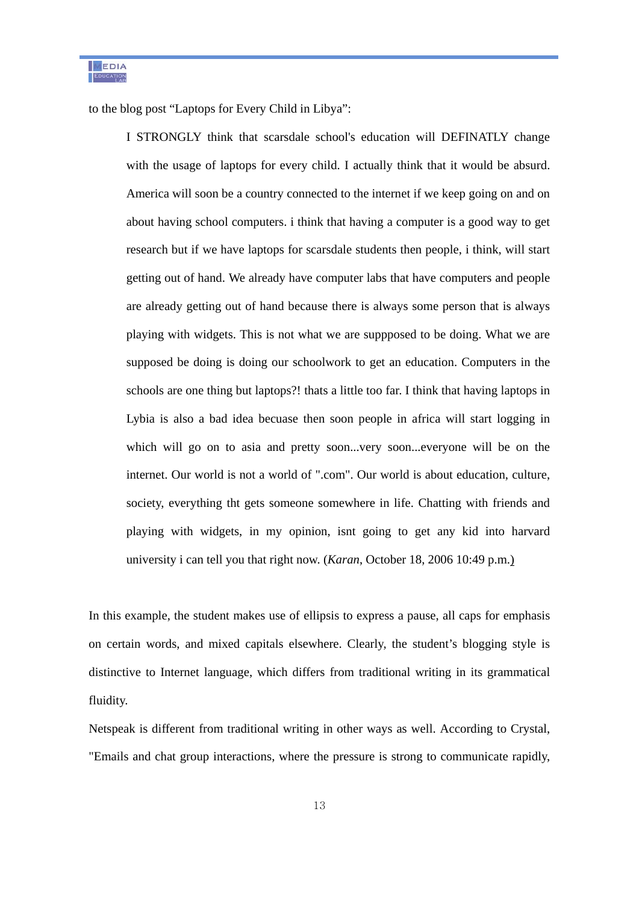to the blog post "Laptops for Every Child in Libya":

I STRONGLY think that scarsdale school's education will DEFINATLY change with the usage of laptops for every child. I actually think that it would be absurd. America will soon be a country connected to the internet if we keep going on and on about having school computers. i think that having a computer is a good way to get research but if we have laptops for scarsdale students then people, i think, will start getting out of hand. We already have computer labs that have computers and people are already getting out of hand because there is always some person that is always playing with widgets. This is not what we are suppposed to be doing. What we are supposed be doing is doing our schoolwork to get an education. Computers in the schools are one thing but laptops?! thats a little too far. I think that having laptops in Lybia is also a bad idea becuase then soon people in africa will start logging in which will go on to asia and pretty soon...very soon...everyone will be on the internet. Our world is not a world of ".com". Our world is about education, culture, society, everything tht gets someone somewhere in life. Chatting with friends and playing with widgets, in my opinion, isnt going to get any kid into harvard university i can tell you that right now. (*Karan*, October 18, 2006 10:49 p.m.)

In this example, the student makes use of ellipsis to express a pause, all caps for emphasis on certain words, and mixed capitals elsewhere. Clearly, the student's blogging style is distinctive to Internet language, which differs from traditional writing in its grammatical fluidity.

Netspeak is different from traditional writing in other ways as well. According to Crystal, "Emails and chat group interactions, where the pressure is strong to communicate rapidly,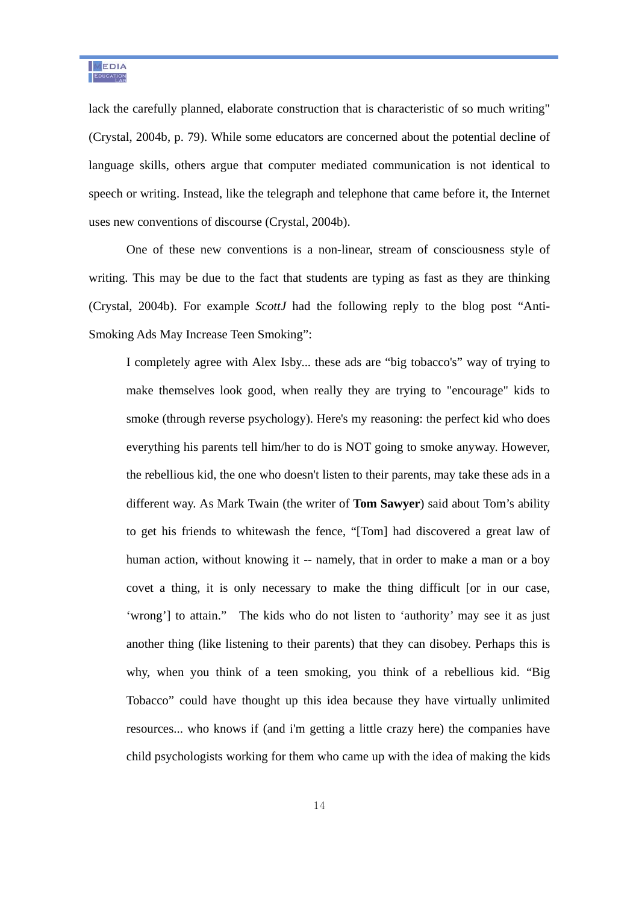lack the carefully planned, elaborate construction that is characteristic of so much writing" (Crystal, 2004b, p. 79). While some educators are concerned about the potential decline of language skills, others argue that computer mediated communication is not identical to speech or writing. Instead, like the telegraph and telephone that came before it, the Internet uses new conventions of discourse (Crystal, 2004b).

One of these new conventions is a non-linear, stream of consciousness style of writing. This may be due to the fact that students are typing as fast as they are thinking (Crystal, 2004b). For example *ScottJ* had the following reply to the blog post "Anti-Smoking Ads May Increase Teen Smoking":

I completely agree with Alex Isby... these ads are "big tobacco's" way of trying to make themselves look good, when really they are trying to "encourage" kids to smoke (through reverse psychology). Here's my reasoning: the perfect kid who does everything his parents tell him/her to do is NOT going to smoke anyway. However, the rebellious kid, the one who doesn't listen to their parents, may take these ads in a different way. As Mark Twain (the writer of **Tom Sawyer**) said about Tom's ability to get his friends to whitewash the fence, "[Tom] had discovered a great law of human action, without knowing it -- namely, that in order to make a man or a boy covet a thing, it is only necessary to make the thing difficult [or in our case, 'wrong'] to attain." The kids who do not listen to 'authority' may see it as just another thing (like listening to their parents) that they can disobey. Perhaps this is why, when you think of a teen smoking, you think of a rebellious kid. "Big Tobacco" could have thought up this idea because they have virtually unlimited resources... who knows if (and i'm getting a little crazy here) the companies have child psychologists working for them who came up with the idea of making the kids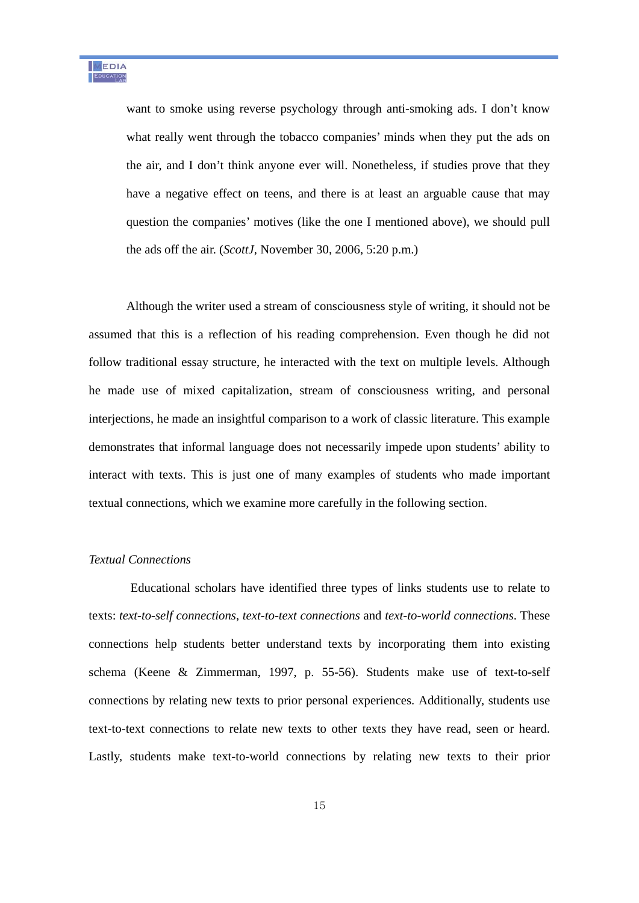want to smoke using reverse psychology through anti-smoking ads. I don't know what really went through the tobacco companies' minds when they put the ads on the air, and I don't think anyone ever will. Nonetheless, if studies prove that they have a negative effect on teens, and there is at least an arguable cause that may question the companies' motives (like the one I mentioned above), we should pull the ads off the air. (*ScottJ,* November 30, 2006, 5:20 p.m.)

Although the writer used a stream of consciousness style of writing, it should not be assumed that this is a reflection of his reading comprehension. Even though he did not follow traditional essay structure, he interacted with the text on multiple levels. Although he made use of mixed capitalization, stream of consciousness writing, and personal interjections, he made an insightful comparison to a work of classic literature. This example demonstrates that informal language does not necessarily impede upon students' ability to interact with texts. This is just one of many examples of students who made important textual connections, which we examine more carefully in the following section.

# *Textual Connections*

 Educational scholars have identified three types of links students use to relate to texts: *text-to-self connections*, *text-to-text connections* and *text-to-world connections*. These connections help students better understand texts by incorporating them into existing schema (Keene & Zimmerman, 1997, p. 55-56). Students make use of text-to-self connections by relating new texts to prior personal experiences. Additionally, students use text-to-text connections to relate new texts to other texts they have read, seen or heard. Lastly, students make text-to-world connections by relating new texts to their prior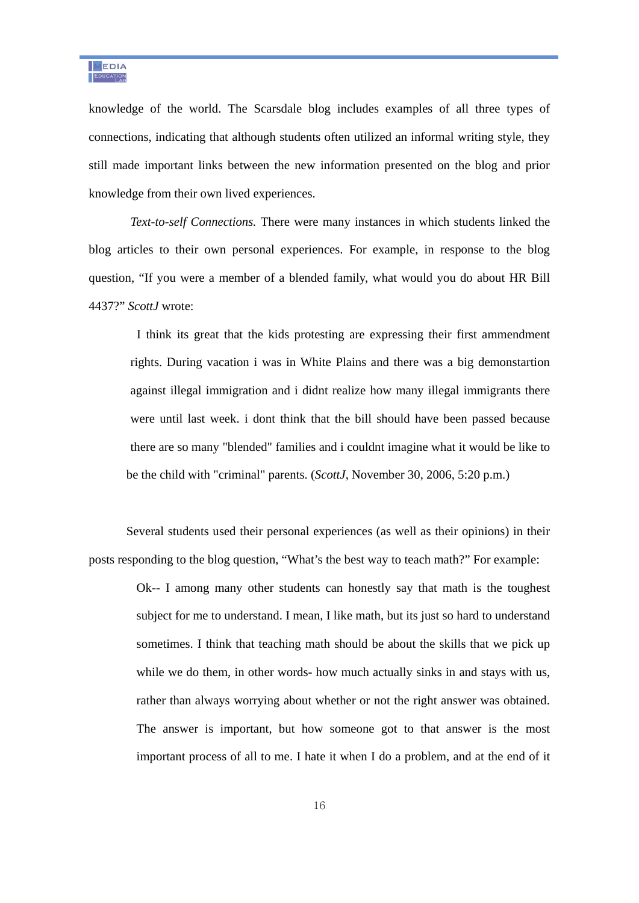knowledge of the world. The Scarsdale blog includes examples of all three types of connections, indicating that although students often utilized an informal writing style, they still made important links between the new information presented on the blog and prior knowledge from their own lived experiences.

 *Text-to-self Connections.* There were many instances in which students linked the blog articles to their own personal experiences. For example, in response to the blog question, "If you were a member of a blended family, what would you do about HR Bill 4437?" *ScottJ* wrote:

I think its great that the kids protesting are expressing their first ammendment rights. During vacation i was in White Plains and there was a big demonstartion against illegal immigration and i didnt realize how many illegal immigrants there were until last week. i dont think that the bill should have been passed because there are so many "blended" families and i couldnt imagine what it would be like to be the child with "criminal" parents. (*ScottJ*, November 30, 2006, 5:20 p.m.)

Several students used their personal experiences (as well as their opinions) in their posts responding to the blog question, "What's the best way to teach math?" For example:

> Ok-- I among many other students can honestly say that math is the toughest subject for me to understand. I mean, I like math, but its just so hard to understand sometimes. I think that teaching math should be about the skills that we pick up while we do them, in other words- how much actually sinks in and stays with us, rather than always worrying about whether or not the right answer was obtained. The answer is important, but how someone got to that answer is the most important process of all to me. I hate it when I do a problem, and at the end of it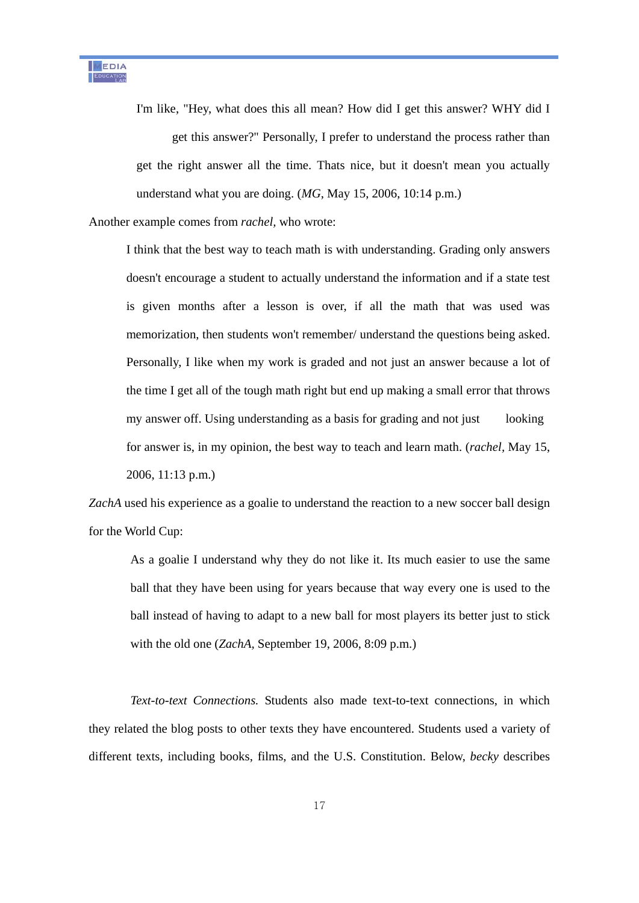I'm like, "Hey, what does this all mean? How did I get this answer? WHY did I get this answer?" Personally, I prefer to understand the process rather than get the right answer all the time. Thats nice, but it doesn't mean you actually understand what you are doing. (*MG*, May 15, 2006, 10:14 p.m.)

Another example comes from *rachel,* who wrote:

I think that the best way to teach math is with understanding. Grading only answers doesn't encourage a student to actually understand the information and if a state test is given months after a lesson is over, if all the math that was used was memorization, then students won't remember/ understand the questions being asked. Personally, I like when my work is graded and not just an answer because a lot of the time I get all of the tough math right but end up making a small error that throws my answer off. Using understanding as a basis for grading and not just looking for answer is, in my opinion, the best way to teach and learn math. (*rachel,* May 15, 2006, 11:13 p.m.)

*ZachA* used his experience as a goalie to understand the reaction to a new soccer ball design for the World Cup:

 As a goalie I understand why they do not like it. Its much easier to use the same ball that they have been using for years because that way every one is used to the ball instead of having to adapt to a new ball for most players its better just to stick with the old one (*ZachA,* September 19, 2006, 8:09 p.m.)

 *Text-to-text Connections.* Students also made text-to-text connections, in which they related the blog posts to other texts they have encountered. Students used a variety of different texts, including books, films, and the U.S. Constitution. Below, *becky* describes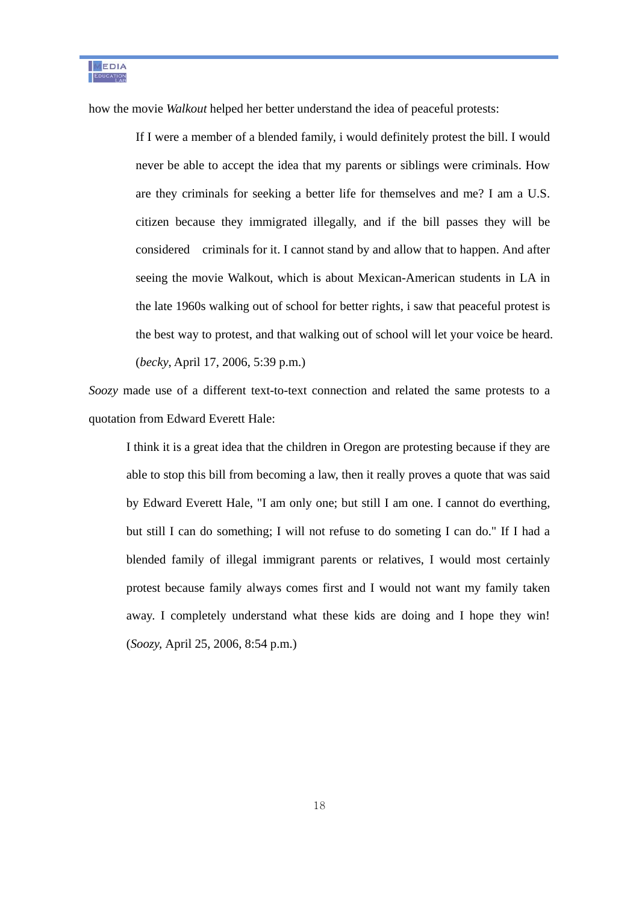how the movie *Walkout* helped her better understand the idea of peaceful protests:

If I were a member of a blended family, i would definitely protest the bill. I would never be able to accept the idea that my parents or siblings were criminals. How are they criminals for seeking a better life for themselves and me? I am a U.S. citizen because they immigrated illegally, and if the bill passes they will be considered criminals for it. I cannot stand by and allow that to happen. And after seeing the movie Walkout, which is about Mexican-American students in LA in the late 1960s walking out of school for better rights, i saw that peaceful protest is the best way to protest, and that walking out of school will let your voice be heard. (*becky*, April 17, 2006, 5:39 p.m.)

*Soozy* made use of a different text-to-text connection and related the same protests to a quotation from Edward Everett Hale:

 I think it is a great idea that the children in Oregon are protesting because if they are able to stop this bill from becoming a law, then it really proves a quote that was said by Edward Everett Hale, "I am only one; but still I am one. I cannot do everthing, but still I can do something; I will not refuse to do someting I can do." If I had a blended family of illegal immigrant parents or relatives, I would most certainly protest because family always comes first and I would not want my family taken away. I completely understand what these kids are doing and I hope they win! (*Soozy,* April 25, 2006, 8:54 p.m.)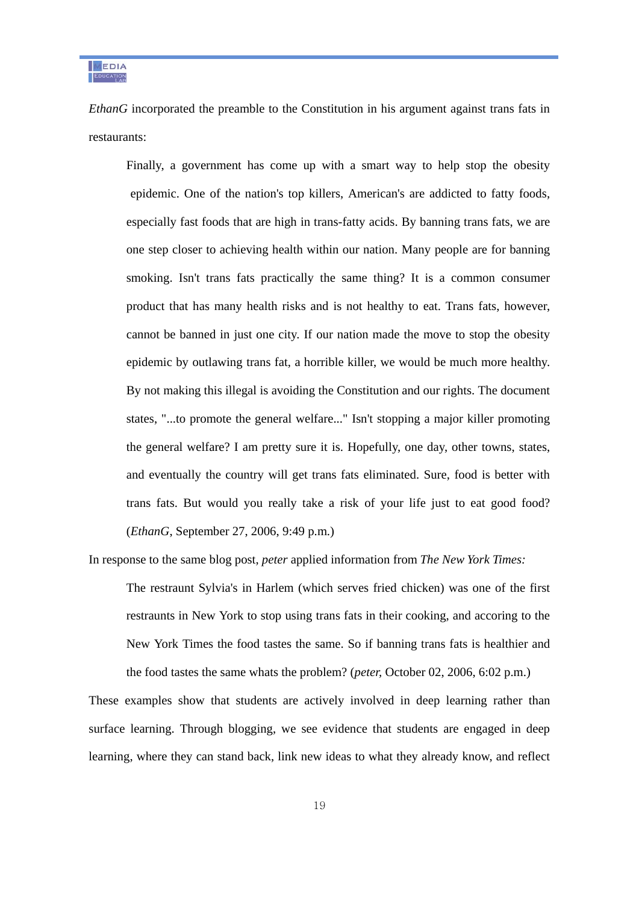MEDIA EDUCATION

*EthanG* incorporated the preamble to the Constitution in his argument against trans fats in restaurants:

 Finally, a government has come up with a smart way to help stop the obesity epidemic. One of the nation's top killers, American's are addicted to fatty foods, especially fast foods that are high in trans-fatty acids. By banning trans fats, we are one step closer to achieving health within our nation. Many people are for banning smoking. Isn't trans fats practically the same thing? It is a common consumer product that has many health risks and is not healthy to eat. Trans fats, however, cannot be banned in just one city. If our nation made the move to stop the obesity epidemic by outlawing trans fat, a horrible killer, we would be much more healthy. By not making this illegal is avoiding the Constitution and our rights. The document states, "...to promote the general welfare..." Isn't stopping a major killer promoting the general welfare? I am pretty sure it is. Hopefully, one day, other towns, states, and eventually the country will get trans fats eliminated. Sure, food is better with trans fats. But would you really take a risk of your life just to eat good food? (*EthanG*, September 27, 2006, 9:49 p.m.)

In response to the same blog post, *peter* applied information from *The New York Times:* 

The restraunt Sylvia's in Harlem (which serves fried chicken) was one of the first restraunts in New York to stop using trans fats in their cooking, and accoring to the New York Times the food tastes the same. So if banning trans fats is healthier and the food tastes the same whats the problem? (*peter,* October 02, 2006, 6:02 p.m.)

These examples show that students are actively involved in deep learning rather than surface learning. Through blogging, we see evidence that students are engaged in deep learning, where they can stand back, link new ideas to what they already know, and reflect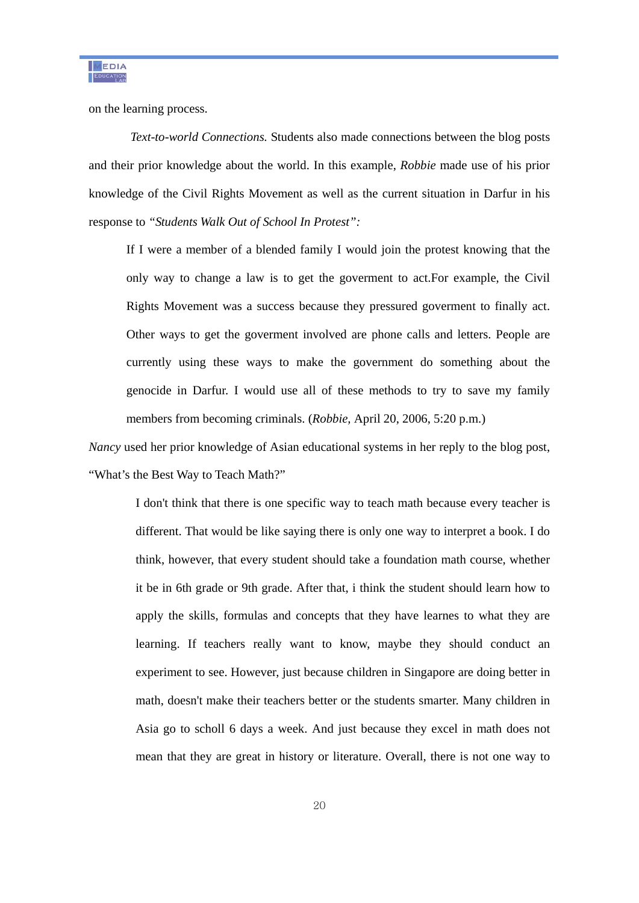on the learning process.

 *Text-to-world Connections.* Students also made connections between the blog posts and their prior knowledge about the world. In this example, *Robbie* made use of his prior knowledge of the Civil Rights Movement as well as the current situation in Darfur in his response to *"Students Walk Out of School In Protest":* 

If I were a member of a blended family I would join the protest knowing that the only way to change a law is to get the goverment to act.For example, the Civil Rights Movement was a success because they pressured goverment to finally act. Other ways to get the goverment involved are phone calls and letters. People are currently using these ways to make the government do something about the genocide in Darfur. I would use all of these methods to try to save my family members from becoming criminals. (*Robbie,* April 20, 2006, 5:20 p.m.)

*Nancy* used her prior knowledge of Asian educational systems in her reply to the blog post, "What's the Best Way to Teach Math?"

> I don't think that there is one specific way to teach math because every teacher is different. That would be like saying there is only one way to interpret a book. I do think, however, that every student should take a foundation math course, whether it be in 6th grade or 9th grade. After that, i think the student should learn how to apply the skills, formulas and concepts that they have learnes to what they are learning. If teachers really want to know, maybe they should conduct an experiment to see. However, just because children in Singapore are doing better in math, doesn't make their teachers better or the students smarter. Many children in Asia go to scholl 6 days a week. And just because they excel in math does not mean that they are great in history or literature. Overall, there is not one way to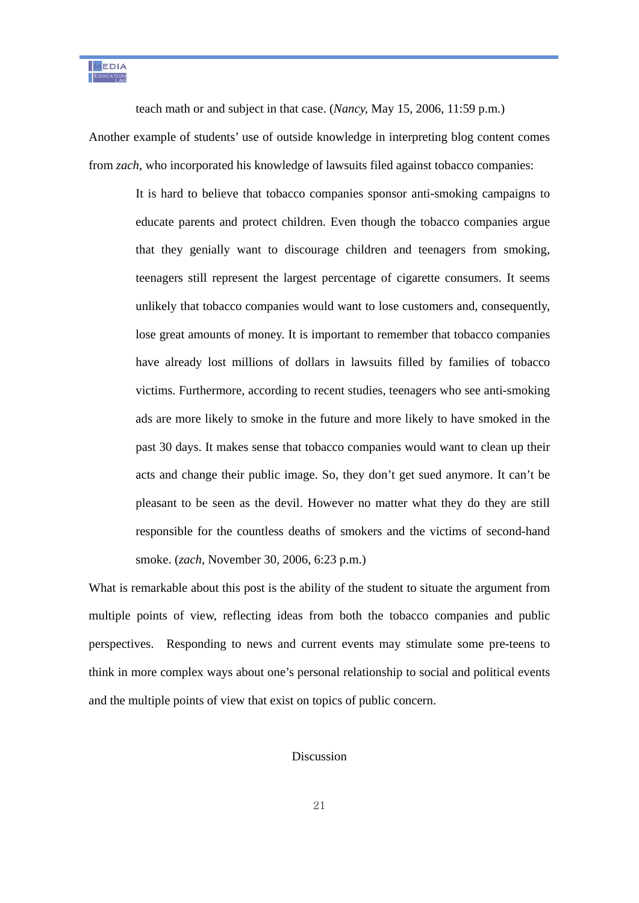MEDIA EDUCATION

teach math or and subject in that case. (*Nancy,* May 15, 2006, 11:59 p.m.)

Another example of students' use of outside knowledge in interpreting blog content comes from *zach*, who incorporated his knowledge of lawsuits filed against tobacco companies:

It is hard to believe that tobacco companies sponsor anti-smoking campaigns to educate parents and protect children. Even though the tobacco companies argue that they genially want to discourage children and teenagers from smoking, teenagers still represent the largest percentage of cigarette consumers. It seems unlikely that tobacco companies would want to lose customers and, consequently, lose great amounts of money. It is important to remember that tobacco companies have already lost millions of dollars in lawsuits filled by families of tobacco victims. Furthermore, according to recent studies, teenagers who see anti-smoking ads are more likely to smoke in the future and more likely to have smoked in the past 30 days. It makes sense that tobacco companies would want to clean up their acts and change their public image. So, they don't get sued anymore. It can't be pleasant to be seen as the devil. However no matter what they do they are still responsible for the countless deaths of smokers and the victims of second-hand smoke. (*zach,* November 30, 2006, 6:23 p.m.)

What is remarkable about this post is the ability of the student to situate the argument from multiple points of view, reflecting ideas from both the tobacco companies and public perspectives. Responding to news and current events may stimulate some pre-teens to think in more complex ways about one's personal relationship to social and political events and the multiple points of view that exist on topics of public concern.

### Discussion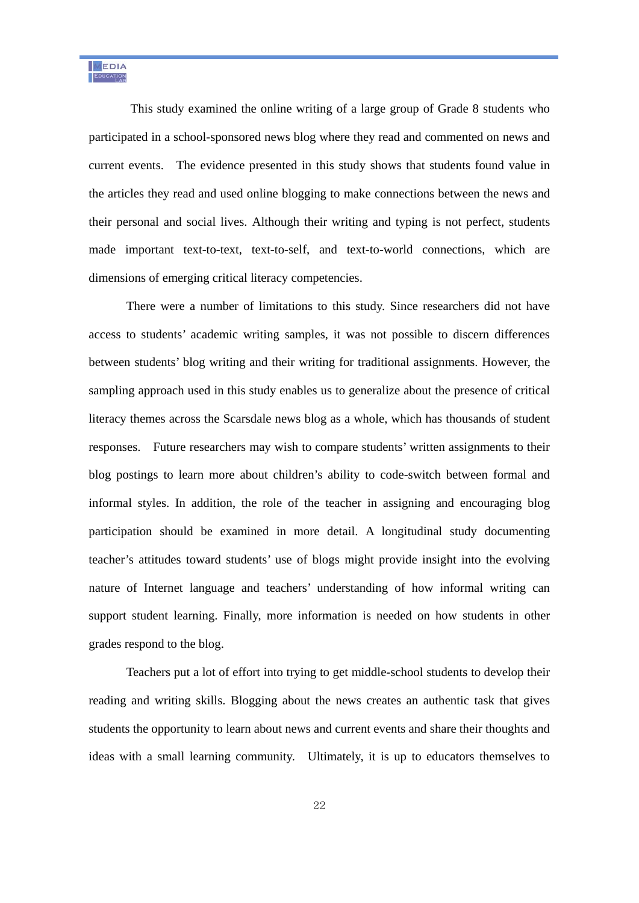This study examined the online writing of a large group of Grade 8 students who participated in a school-sponsored news blog where they read and commented on news and current events. The evidence presented in this study shows that students found value in the articles they read and used online blogging to make connections between the news and their personal and social lives. Although their writing and typing is not perfect, students made important text-to-text, text-to-self, and text-to-world connections, which are dimensions of emerging critical literacy competencies.

There were a number of limitations to this study. Since researchers did not have access to students' academic writing samples, it was not possible to discern differences between students' blog writing and their writing for traditional assignments. However, the sampling approach used in this study enables us to generalize about the presence of critical literacy themes across the Scarsdale news blog as a whole, which has thousands of student responses. Future researchers may wish to compare students' written assignments to their blog postings to learn more about children's ability to code-switch between formal and informal styles. In addition, the role of the teacher in assigning and encouraging blog participation should be examined in more detail. A longitudinal study documenting teacher's attitudes toward students' use of blogs might provide insight into the evolving nature of Internet language and teachers' understanding of how informal writing can support student learning. Finally, more information is needed on how students in other grades respond to the blog.

Teachers put a lot of effort into trying to get middle-school students to develop their reading and writing skills. Blogging about the news creates an authentic task that gives students the opportunity to learn about news and current events and share their thoughts and ideas with a small learning community. Ultimately, it is up to educators themselves to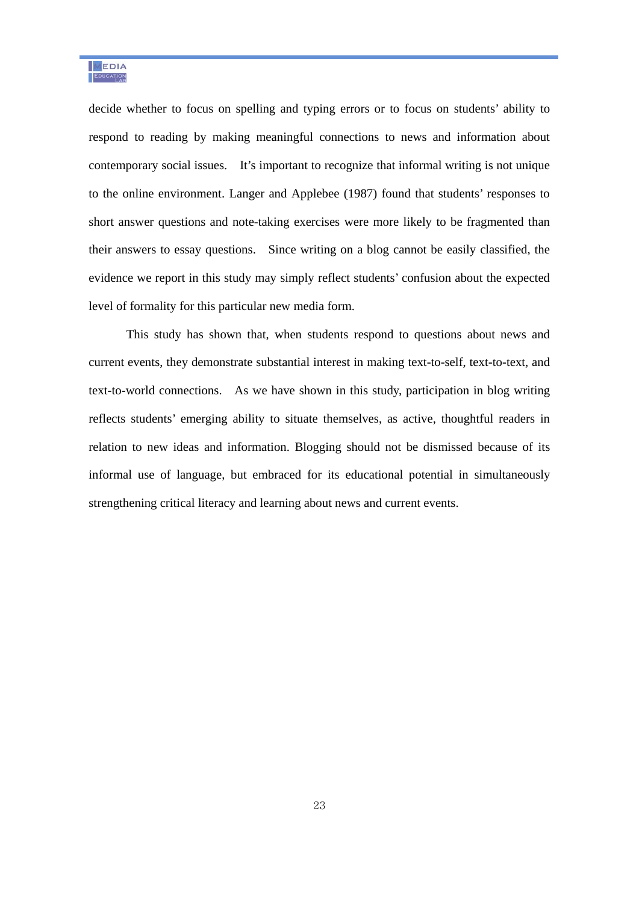decide whether to focus on spelling and typing errors or to focus on students' ability to respond to reading by making meaningful connections to news and information about contemporary social issues. It's important to recognize that informal writing is not unique to the online environment. Langer and Applebee (1987) found that students' responses to short answer questions and note-taking exercises were more likely to be fragmented than their answers to essay questions. Since writing on a blog cannot be easily classified, the evidence we report in this study may simply reflect students' confusion about the expected level of formality for this particular new media form.

This study has shown that, when students respond to questions about news and current events, they demonstrate substantial interest in making text-to-self, text-to-text, and text-to-world connections. As we have shown in this study, participation in blog writing reflects students' emerging ability to situate themselves, as active, thoughtful readers in relation to new ideas and information. Blogging should not be dismissed because of its informal use of language, but embraced for its educational potential in simultaneously strengthening critical literacy and learning about news and current events.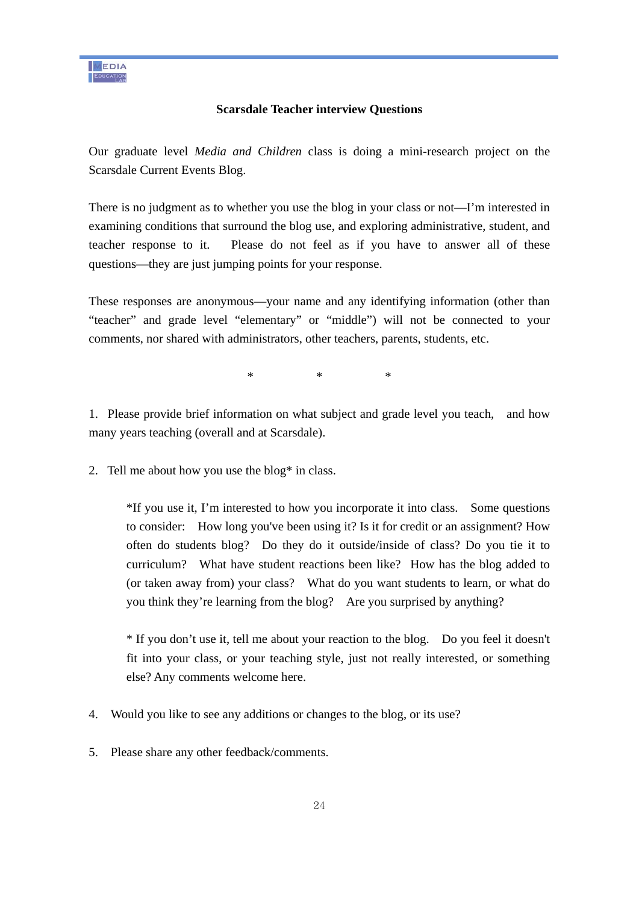## **Scarsdale Teacher interview Questions**

Our graduate level *Media and Children* class is doing a mini-research project on the Scarsdale Current Events Blog.

There is no judgment as to whether you use the blog in your class or not—I'm interested in examining conditions that surround the blog use, and exploring administrative, student, and teacher response to it. Please do not feel as if you have to answer all of these questions—they are just jumping points for your response.

These responses are anonymous—your name and any identifying information (other than "teacher" and grade level "elementary" or "middle") will not be connected to your comments, nor shared with administrators, other teachers, parents, students, etc.

 $*$  \*  $*$ 

1. Please provide brief information on what subject and grade level you teach, and how many years teaching (overall and at Scarsdale).

2. Tell me about how you use the blog\* in class.

\*If you use it, I'm interested to how you incorporate it into class. Some questions to consider: How long you've been using it? Is it for credit or an assignment? How often do students blog? Do they do it outside/inside of class? Do you tie it to curriculum? What have student reactions been like? How has the blog added to (or taken away from) your class? What do you want students to learn, or what do you think they're learning from the blog? Are you surprised by anything?

\* If you don't use it, tell me about your reaction to the blog. Do you feel it doesn't fit into your class, or your teaching style, just not really interested, or something else? Any comments welcome here.

- 4. Would you like to see any additions or changes to the blog, or its use?
- 5. Please share any other feedback/comments.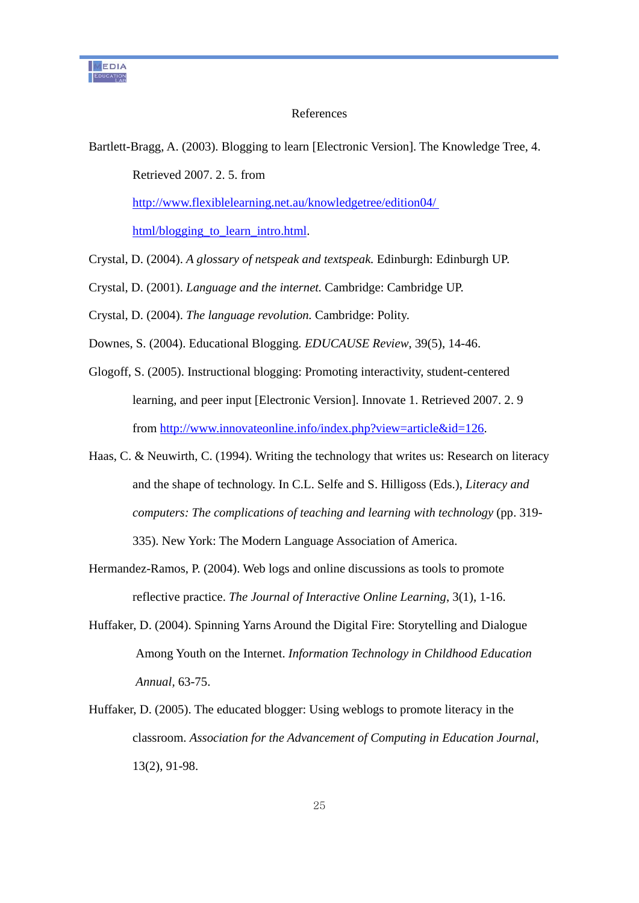### References

Bartlett-Bragg, A. (2003). Blogging to learn [Electronic Version]. The Knowledge Tree, 4. Retrieved 2007. 2. 5. from http://www.flexiblelearning.net.au/knowledgetree/edition04/ html/blogging\_to\_learn\_intro.html.

Crystal, D. (2004). *A glossary of netspeak and textspeak.* Edinburgh: Edinburgh UP.

Crystal, D. (2001). *Language and the internet.* Cambridge: Cambridge UP.

Crystal, D. (2004). *The language revolution.* Cambridge: Polity.

Downes, S. (2004). Educational Blogging*. EDUCAUSE Review*, 39(5), 14-46.

- Glogoff, S. (2005). Instructional blogging: Promoting interactivity, student-centered learning, and peer input [Electronic Version]. Innovate 1. Retrieved 2007. 2. 9 from http://www.innovateonline.info/index.php?view=article&id=126.
- Haas, C. & Neuwirth, C. (1994). Writing the technology that writes us: Research on literacy and the shape of technology. In C.L. Selfe and S. Hilligoss (Eds.), *Literacy and computers: The complications of teaching and learning with technology* (pp. 319- 335). New York: The Modern Language Association of America.
- Hermandez-Ramos, P. (2004). Web logs and online discussions as tools to promote reflective practice. *The Journal of Interactive Online Learning*, 3(1), 1-16.
- Huffaker, D. (2004). Spinning Yarns Around the Digital Fire: Storytelling and Dialogue Among Youth on the Internet. *Information Technology in Childhood Education Annual,* 63-75.
- Huffaker, D. (2005). The educated blogger: Using weblogs to promote literacy in the classroom. *Association for the Advancement of Computing in Education Journal*, 13(2), 91-98.